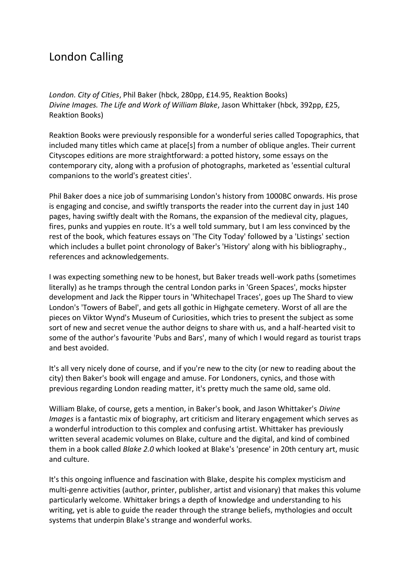## London Calling

*London. City of Cities*, Phil Baker (hbck, 280pp, £14.95, Reaktion Books) *Divine Images. The Life and Work of William Blake*, Jason Whittaker (hbck, 392pp, £25, Reaktion Books)

Reaktion Books were previously responsible for a wonderful series called Topographics, that included many titles which came at place[s] from a number of oblique angles. Their current Cityscopes editions are more straightforward: a potted history, some essays on the contemporary city, along with a profusion of photographs, marketed as 'essential cultural companions to the world's greatest cities'.

Phil Baker does a nice job of summarising London's history from 1000BC onwards. His prose is engaging and concise, and swiftly transports the reader into the current day in just 140 pages, having swiftly dealt with the Romans, the expansion of the medieval city, plagues, fires, punks and yuppies en route. It's a well told summary, but I am less convinced by the rest of the book, which features essays on 'The City Today' followed by a 'Listings' section which includes a bullet point chronology of Baker's 'History' along with his bibliography., references and acknowledgements.

I was expecting something new to be honest, but Baker treads well-work paths (sometimes literally) as he tramps through the central London parks in 'Green Spaces', mocks hipster development and Jack the Ripper tours in 'Whitechapel Traces', goes up The Shard to view London's 'Towers of Babel', and gets all gothic in Highgate cemetery. Worst of all are the pieces on Viktor Wynd's Museum of Curiosities, which tries to present the subject as some sort of new and secret venue the author deigns to share with us, and a half-hearted visit to some of the author's favourite 'Pubs and Bars', many of which I would regard as tourist traps and best avoided.

It's all very nicely done of course, and if you're new to the city (or new to reading about the city) then Baker's book will engage and amuse. For Londoners, cynics, and those with previous regarding London reading matter, it's pretty much the same old, same old.

William Blake, of course, gets a mention, in Baker's book, and Jason Whittaker's *Divine Images* is a fantastic mix of biography, art criticism and literary engagement which serves as a wonderful introduction to this complex and confusing artist. Whittaker has previously written several academic volumes on Blake, culture and the digital, and kind of combined them in a book called *Blake 2.0* which looked at Blake's 'presence' in 20th century art, music and culture.

It's this ongoing influence and fascination with Blake, despite his complex mysticism and multi-genre activities (author, printer, publisher, artist and visionary) that makes this volume particularly welcome. Whittaker brings a depth of knowledge and understanding to his writing, yet is able to guide the reader through the strange beliefs, mythologies and occult systems that underpin Blake's strange and wonderful works.